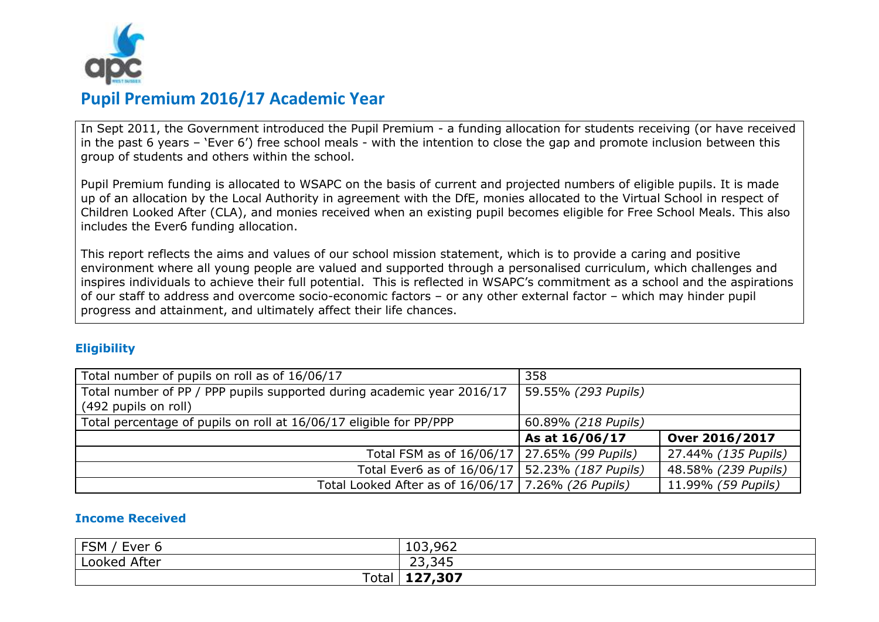

## **Pupil Premium 2016/17 Academic Year**

In Sept 2011, the Government introduced the Pupil Premium - a funding allocation for students receiving (or have received in the past 6 years – 'Ever 6') free school meals - with the intention to close the gap and promote inclusion between this group of students and others within the school.

Pupil Premium funding is allocated to WSAPC on the basis of current and projected numbers of eligible pupils. It is made up of an allocation by the Local Authority in agreement with the DfE, monies allocated to the Virtual School in respect of Children Looked After (CLA), and monies received when an existing pupil becomes eligible for Free School Meals. This also includes the Ever6 funding allocation.

This report reflects the aims and values of our school mission statement, which is to provide a caring and positive environment where all young people are valued and supported through a personalised curriculum, which challenges and inspires individuals to achieve their full potential. This is reflected in WSAPC's commitment as a school and the aspirations of our staff to address and overcome socio-economic factors – or any other external factor – which may hinder pupil progress and attainment, and ultimately affect their life chances.

### **Eligibility**

| Total number of pupils on roll as of 16/06/17                          | 358                 |                     |
|------------------------------------------------------------------------|---------------------|---------------------|
| Total number of PP / PPP pupils supported during academic year 2016/17 | 59.55% (293 Pupils) |                     |
| (492 pupils on roll)                                                   |                     |                     |
| Total percentage of pupils on roll at 16/06/17 eligible for PP/PPP     | 60.89% (218 Pupils) |                     |
|                                                                        | As at 16/06/17      | Over 2016/2017      |
| Total FSM as of 16/06/17   27.65% (99 Pupils)                          |                     | 27.44% (135 Pupils) |
| Total Ever6 as of 16/06/17   52.23% (187 Pupils)                       |                     | 48.58% (239 Pupils) |
| Total Looked After as of 16/06/17   7.26% (26 Pupils)                  |                     | 11.99% (59 Pupils)  |

#### **Income Received**

| <b>ECM</b><br>cver<br>ויוכ־ | 103,962 |
|-----------------------------|---------|
| Looked After                | 23,345  |
| Total                       | 127,307 |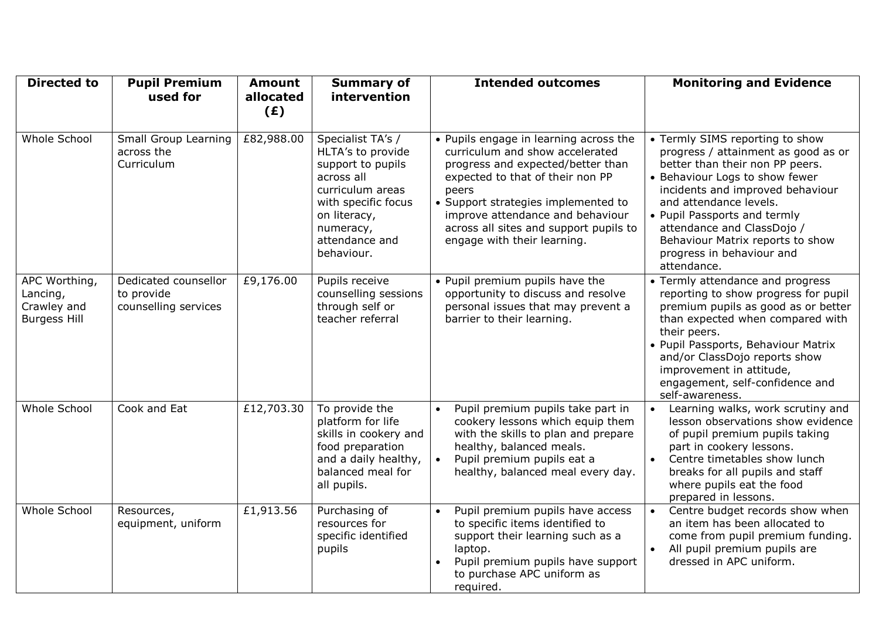| <b>Directed to</b>                                              | <b>Pupil Premium</b><br>used for                           | <b>Amount</b><br>allocated<br>(E) | <b>Summary of</b><br>intervention                                                                                                                                                 | <b>Intended outcomes</b>                                                                                                                                                                                                                                                                                        | <b>Monitoring and Evidence</b>                                                                                                                                                                                                                                                                                                                          |
|-----------------------------------------------------------------|------------------------------------------------------------|-----------------------------------|-----------------------------------------------------------------------------------------------------------------------------------------------------------------------------------|-----------------------------------------------------------------------------------------------------------------------------------------------------------------------------------------------------------------------------------------------------------------------------------------------------------------|---------------------------------------------------------------------------------------------------------------------------------------------------------------------------------------------------------------------------------------------------------------------------------------------------------------------------------------------------------|
| Whole School                                                    | Small Group Learning<br>across the<br>Curriculum           | £82,988.00                        | Specialist TA's /<br>HLTA's to provide<br>support to pupils<br>across all<br>curriculum areas<br>with specific focus<br>on literacy,<br>numeracy,<br>attendance and<br>behaviour. | • Pupils engage in learning across the<br>curriculum and show accelerated<br>progress and expected/better than<br>expected to that of their non PP<br>peers<br>• Support strategies implemented to<br>improve attendance and behaviour<br>across all sites and support pupils to<br>engage with their learning. | • Termly SIMS reporting to show<br>progress / attainment as good as or<br>better than their non PP peers.<br>• Behaviour Logs to show fewer<br>incidents and improved behaviour<br>and attendance levels.<br>• Pupil Passports and termly<br>attendance and ClassDojo /<br>Behaviour Matrix reports to show<br>progress in behaviour and<br>attendance. |
| APC Worthing,<br>Lancing,<br>Crawley and<br><b>Burgess Hill</b> | Dedicated counsellor<br>to provide<br>counselling services | £9,176.00                         | Pupils receive<br>counselling sessions<br>through self or<br>teacher referral                                                                                                     | • Pupil premium pupils have the<br>opportunity to discuss and resolve<br>personal issues that may prevent a<br>barrier to their learning.                                                                                                                                                                       | • Termly attendance and progress<br>reporting to show progress for pupil<br>premium pupils as good as or better<br>than expected when compared with<br>their peers.<br>· Pupil Passports, Behaviour Matrix<br>and/or ClassDojo reports show<br>improvement in attitude,<br>engagement, self-confidence and<br>self-awareness.                           |
| <b>Whole School</b>                                             | Cook and Eat                                               | £12,703.30                        | To provide the<br>platform for life<br>skills in cookery and<br>food preparation<br>and a daily healthy,<br>balanced meal for<br>all pupils.                                      | Pupil premium pupils take part in<br>cookery lessons which equip them<br>with the skills to plan and prepare<br>healthy, balanced meals.<br>Pupil premium pupils eat a<br>healthy, balanced meal every day.                                                                                                     | Learning walks, work scrutiny and<br>$\bullet$<br>lesson observations show evidence<br>of pupil premium pupils taking<br>part in cookery lessons.<br>Centre timetables show lunch<br>$\bullet$<br>breaks for all pupils and staff<br>where pupils eat the food<br>prepared in lessons.                                                                  |
| <b>Whole School</b>                                             | Resources,<br>equipment, uniform                           | £1,913.56                         | Purchasing of<br>resources for<br>specific identified<br>pupils                                                                                                                   | Pupil premium pupils have access<br>to specific items identified to<br>support their learning such as a<br>laptop.<br>Pupil premium pupils have support<br>to purchase APC uniform as<br>required.                                                                                                              | Centre budget records show when<br>$\bullet$<br>an item has been allocated to<br>come from pupil premium funding.<br>All pupil premium pupils are<br>$\bullet$<br>dressed in APC uniform.                                                                                                                                                               |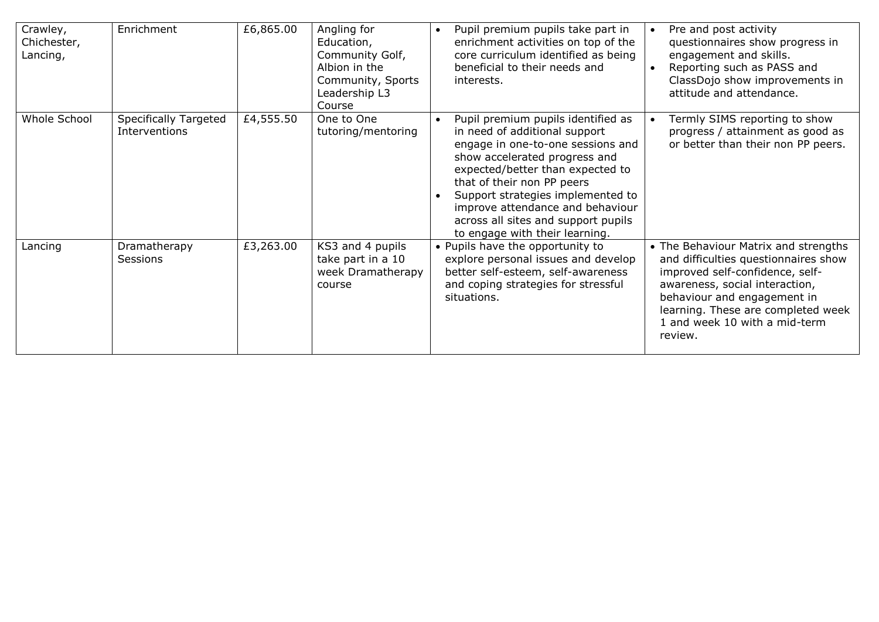| Crawley,<br>Chichester,<br>Lancing, | Enrichment                             | £6,865.00 | Angling for<br>Education,<br>Community Golf,<br>Albion in the<br>Community, Sports<br>Leadership L3<br>Course | Pupil premium pupils take part in<br>$\bullet$<br>enrichment activities on top of the<br>core curriculum identified as being<br>beneficial to their needs and<br>interests.                                                                                                                                                                                   | Pre and post activity<br>$\bullet$<br>questionnaires show progress in<br>engagement and skills.<br>Reporting such as PASS and<br>$\bullet$<br>ClassDojo show improvements in<br>attitude and attendance.                                                           |
|-------------------------------------|----------------------------------------|-----------|---------------------------------------------------------------------------------------------------------------|---------------------------------------------------------------------------------------------------------------------------------------------------------------------------------------------------------------------------------------------------------------------------------------------------------------------------------------------------------------|--------------------------------------------------------------------------------------------------------------------------------------------------------------------------------------------------------------------------------------------------------------------|
| Whole School                        | Specifically Targeted<br>Interventions | £4,555.50 | One to One<br>tutoring/mentoring                                                                              | Pupil premium pupils identified as<br>in need of additional support<br>engage in one-to-one sessions and<br>show accelerated progress and<br>expected/better than expected to<br>that of their non PP peers<br>Support strategies implemented to<br>improve attendance and behaviour<br>across all sites and support pupils<br>to engage with their learning. | Termly SIMS reporting to show<br>progress / attainment as good as<br>or better than their non PP peers.                                                                                                                                                            |
| Lancing                             | Dramatherapy<br><b>Sessions</b>        | £3,263.00 | KS3 and 4 pupils<br>take part in a 10<br>week Dramatherapy<br>course                                          | • Pupils have the opportunity to<br>explore personal issues and develop<br>better self-esteem, self-awareness<br>and coping strategies for stressful<br>situations.                                                                                                                                                                                           | • The Behaviour Matrix and strengths<br>and difficulties questionnaires show<br>improved self-confidence, self-<br>awareness, social interaction,<br>behaviour and engagement in<br>learning. These are completed week<br>1 and week 10 with a mid-term<br>review. |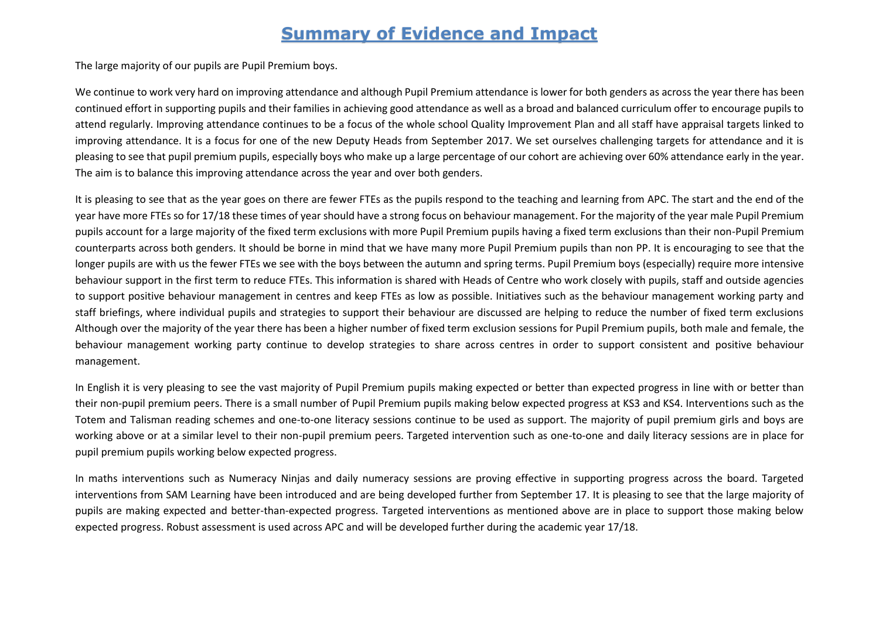## **Summary of Evidence and Impact**

The large majority of our pupils are Pupil Premium boys.

We continue to work very hard on improving attendance and although Pupil Premium attendance is lower for both genders as across the year there has been continued effort in supporting pupils and their families in achieving good attendance as well as a broad and balanced curriculum offer to encourage pupils to attend regularly. Improving attendance continues to be a focus of the whole school Quality Improvement Plan and all staff have appraisal targets linked to improving attendance. It is a focus for one of the new Deputy Heads from September 2017. We set ourselves challenging targets for attendance and it is pleasing to see that pupil premium pupils, especially boys who make up a large percentage of our cohort are achieving over 60% attendance early in the year. The aim is to balance this improving attendance across the year and over both genders.

It is pleasing to see that as the year goes on there are fewer FTEs as the pupils respond to the teaching and learning from APC. The start and the end of the year have more FTEs so for 17/18 these times of year should have a strong focus on behaviour management. For the majority of the year male Pupil Premium pupils account for a large majority of the fixed term exclusions with more Pupil Premium pupils having a fixed term exclusions than their non-Pupil Premium counterparts across both genders. It should be borne in mind that we have many more Pupil Premium pupils than non PP. It is encouraging to see that the longer pupils are with us the fewer FTEs we see with the boys between the autumn and spring terms. Pupil Premium boys (especially) require more intensive behaviour support in the first term to reduce FTEs. This information is shared with Heads of Centre who work closely with pupils, staff and outside agencies to support positive behaviour management in centres and keep FTEs as low as possible. Initiatives such as the behaviour management working party and staff briefings, where individual pupils and strategies to support their behaviour are discussed are helping to reduce the number of fixed term exclusions Although over the majority of the year there has been a higher number of fixed term exclusion sessions for Pupil Premium pupils, both male and female, the behaviour management working party continue to develop strategies to share across centres in order to support consistent and positive behaviour management.

In English it is very pleasing to see the vast majority of Pupil Premium pupils making expected or better than expected progress in line with or better than their non-pupil premium peers. There is a small number of Pupil Premium pupils making below expected progress at KS3 and KS4. Interventions such as the Totem and Talisman reading schemes and one-to-one literacy sessions continue to be used as support. The majority of pupil premium girls and boys are working above or at a similar level to their non-pupil premium peers. Targeted intervention such as one-to-one and daily literacy sessions are in place for pupil premium pupils working below expected progress.

In maths interventions such as Numeracy Ninjas and daily numeracy sessions are proving effective in supporting progress across the board. Targeted interventions from SAM Learning have been introduced and are being developed further from September 17. It is pleasing to see that the large majority of pupils are making expected and better-than-expected progress. Targeted interventions as mentioned above are in place to support those making below expected progress. Robust assessment is used across APC and will be developed further during the academic year 17/18.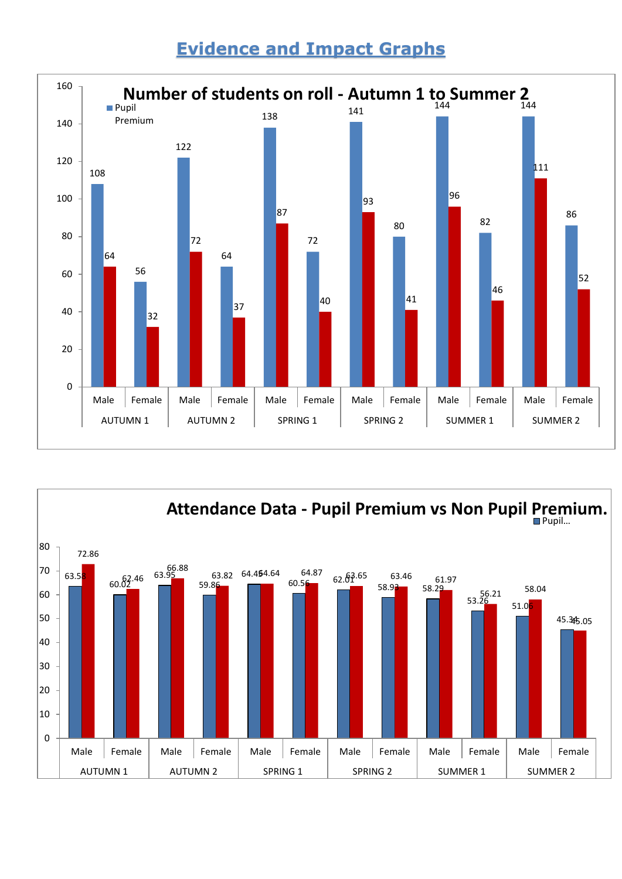# **Evidence and Impact Graphs**



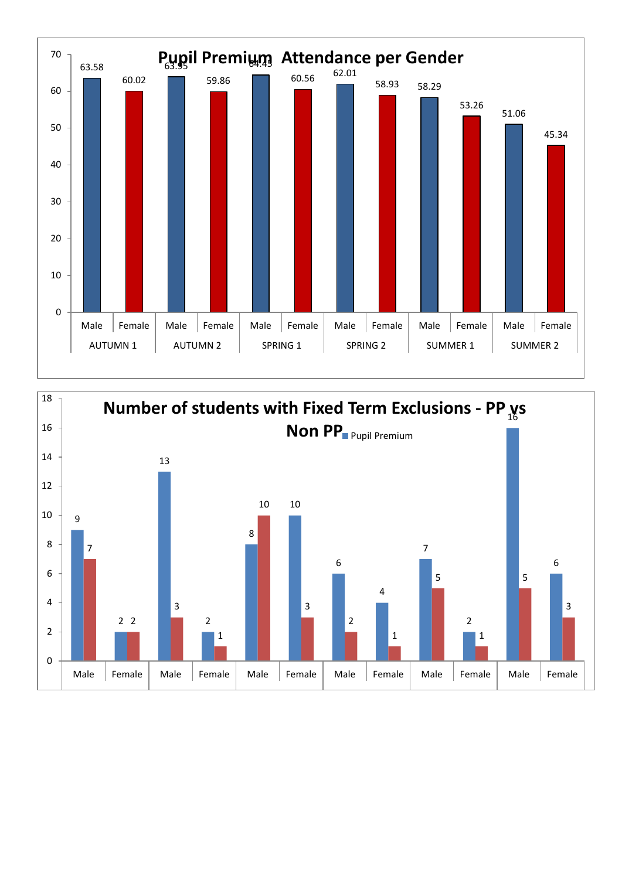

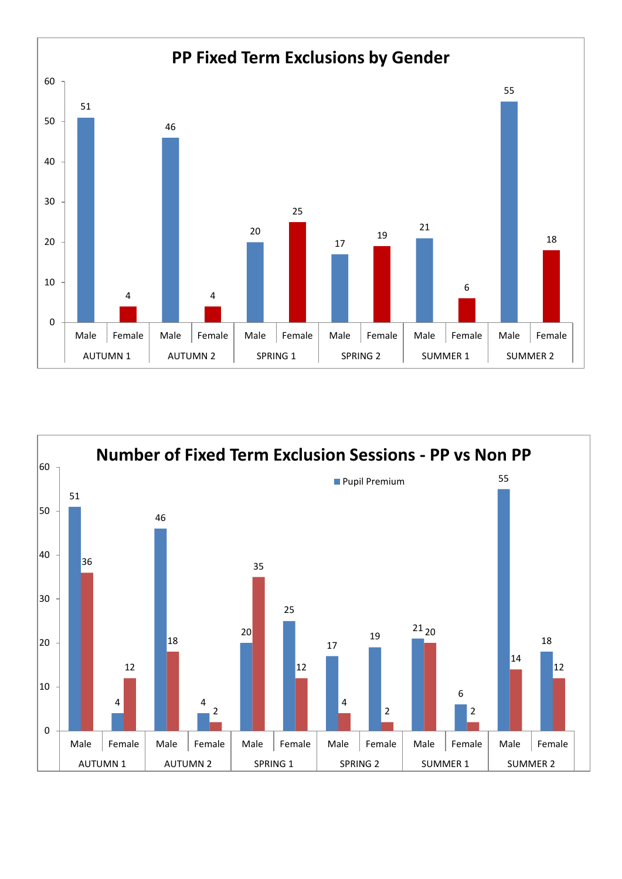

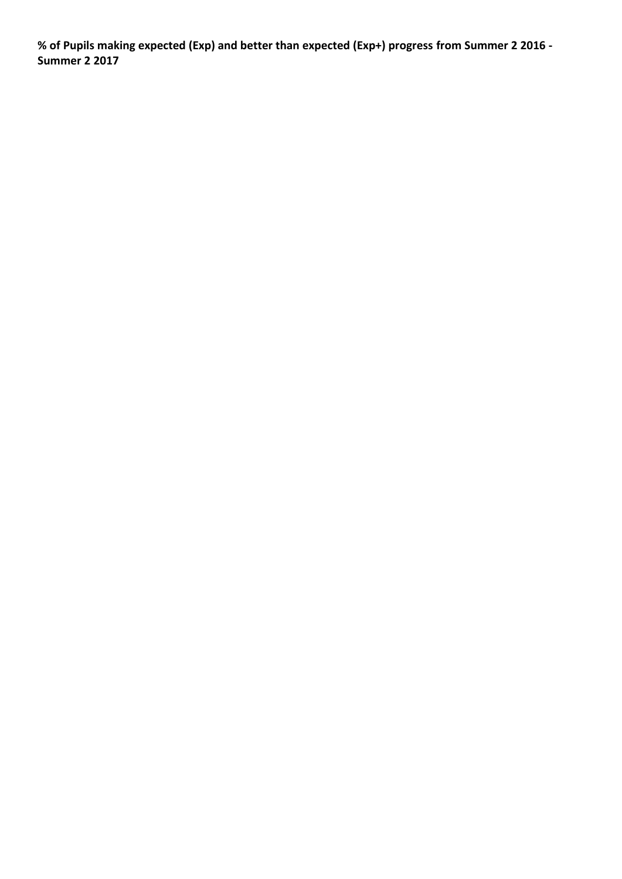**% of Pupils making expected (Exp) and better than expected (Exp+) progress from Summer 2 2016 - Summer 2 2017**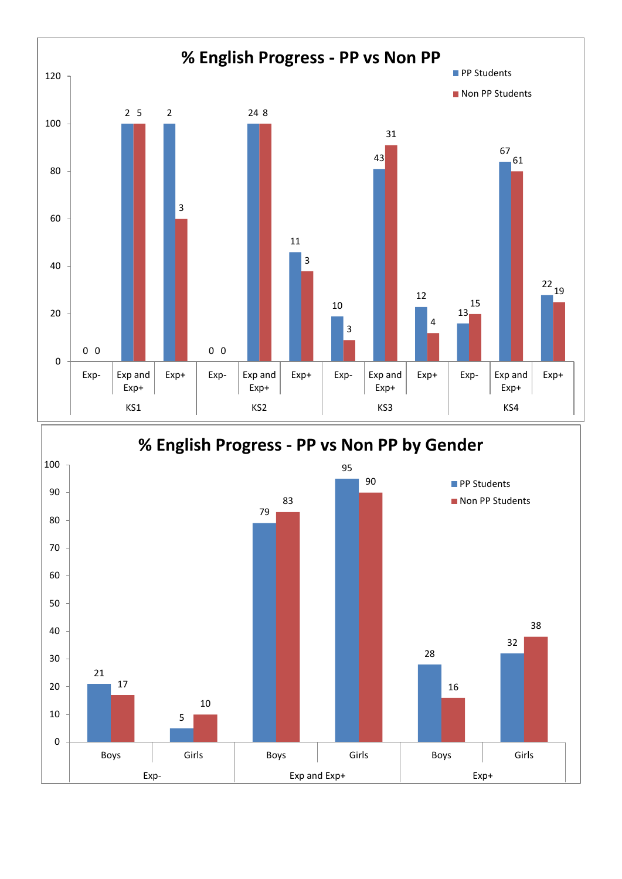